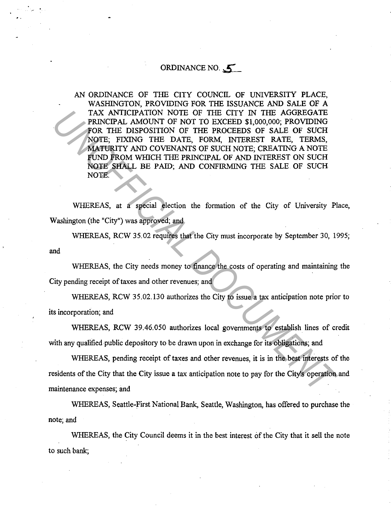## ORDINANCE NO.  $\leq$

AN ORDINANCE OF THE CITY COUNCIL OF UNIVERSITY PLACE, WASHINGTON, PROVIDING FOR THE ISSUANCE AND SALE OF A TAX ANTICIPATION NOTE OF THE CITY IN THE AGGREGATE PRINCIPAL AMOUNT OF NOT TO EXCEED \$1,000,000; PROVIDING FOR THE DISPOSITION OF THE PROCEEDS OF SALE OF SUCH NOTE; FIXING THE DATE, FORM, INTEREST RATE, TERMS, MATURITY AND COVENANTS OF SUCH NOTE; CREATING A NOTE FUND FROM WHICH THE PRINCIPAL OF AND INTEREST ON SUCH NOTE SHALL BE PAID; AND CONFIRMING THE SALE. OF SUCH NOTE. TAX ANTICIPATION NOTE OF THE CITY IN THE AGGREGATE TAX ANDERST PROCEDS OF SALE OF SUCH THE PASCED STATE OF SUCH MOTE. FIXING THE DISPOSITION OF THE PROCEDS OF SALE OF SUCH MATURITY AND COVENANTS OF SUCH NOTE, CREATING A NO

WHEREAS, at a special election the formation of the City of University Place, Washington (the "City") was approved; and

WHEREAS, RCW 35.02 requires that the City must incorporate by September 30, 1995; and

WHEREAS, the City needs money to finance the costs of operating and maintaining the City pending receipt of taxes and other revenues; and

WHEREAS, RCW 35.02.130 authorizes the City to issue a tax anticipation note prior to its incorporation; and

WHEREAS, RCW 39.46.050 authorizes local governments to establish lines of credit with any qualified public depository to be drawn upon in exchange for its obligations; and

WHEREAS, pending receipt of taxes and other revenues, it is in the best interests of the residents of the City that the City issue a tax anticipation note to pay for the City's operation and maintenance expenses; and

WHEREAS, Seattle-First National Bank, Seattle, Washington, has offered to purchase the note; and

WHEREAS, the City Council deems it in the best interest of the City that it sell the note to such bank;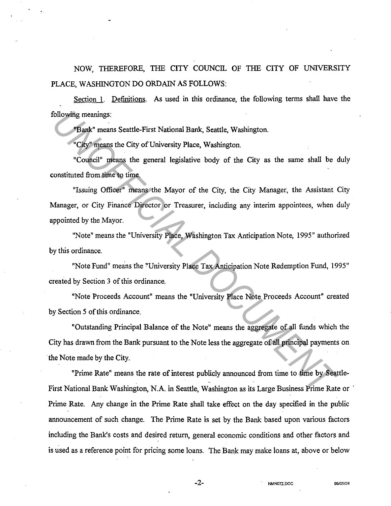NOW, THEREFORE, THE CITY COUNCIL OF THE CITY OF UNIVERSITY PLACE, WASHINGTON DO ORDAIN AS FOLLOWS:

Section 1. Definitions. As used in this ordinance, the following terms shall have the following meanings:

"Bank" means Seattle-First National Bank, Seattle, Washington.

"City" means the City of University Place, Washington.

"Council" means the general legislative body of the City as the same shall be duly constituted from time to time.

"Issuing Officer" means the Mayor of the City, the City Manager, the Assistant City Manager, or City Finance Director or Treasurer, including any interim appointees, when duly appointed by the Mayor. **Example 1.1**<br> **UNITE THE TRANSIE CONDUCT THE SET INTERENT IN SERVE THE STATE INTO THE CONDUCT THE CONDUCT THE SUITE CONDUCT THE SUITE THE SUITE THE SUITE THE USING OF THE SUITE THE USING THE THE USING THE USING THE THE TH** 

"Note" means the "University Place, Washington Tax Anticipation Note, 1995" authorized by this ordinance.

"Note Fund" means the "University Place Tax Anticipation Note Redemption Fund, 1995" created by Section 3 of this ordinance.

"Note Proceeds Account" means the "University Place Note Proceeds Account" created by Section 5 of this ordinance.

"Outstanding Principal Balance of the Note" means the aggregate of all funds which the City has drawn from the Bank pursuant to the Note less the aggregate of all principal payments on the Note made by the City.

"Prime Rate" means the rate of interest publicly announced from time to time by Seattle-First National Bank Washington, N.A. in Seattle, Washington as its Large Business Prime Rate or <sup>1</sup> Prime Rate. Any change in the Prime Rate shall take effect on the day specified in the public announcement of such change. The Prime Rate is set by the Bank based upon various factors including the Bank's costs and desired return, general economic conditions and other factors and is used as a reference point for pricing some loans. The Bank may make loans at, above or below

-2- **NMN07Z.DOC 95/05124**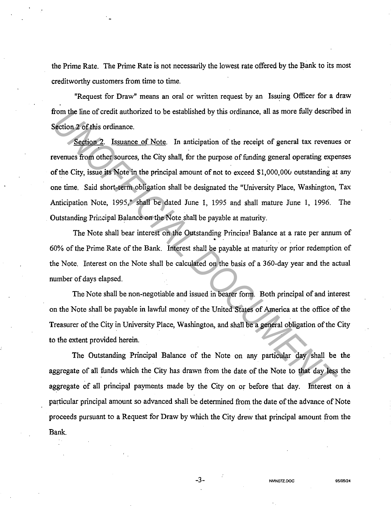the Prime Rate. The Prime Rate is not necessarily the lowest rate offered by the Bank to its most creditworthy customers from time to time.

"Request for Draw" means an oral or written request by an Issuins Officer for a draw from the line of credit authorized to be established by this ordinance, all as more fully described in Section 2 of this ordinance.

Section 2. Issuance of Note. In anticipation of the receipt of general tax revenues or revenues from other sources, the City shall, for the purpose of funding general operating expenses of the City, issue its Note in the principal amount of not to exceed \$1,000,00u outstanding at any one time. Said short-term obligation shall be designated the "University Place, Washington, Tax Anticipation Note, 1995," shall be dated June 1, 1995 and shall mature June 1, 1996. The Outstanding Principal Balance on the Note shall be payable at maturity. From the line of credit authorized to be established by this ordinance, all as more tilly describes absorbs explorer.<br> *Section 2 Cof this ordinance*.<br> *Section 2 Cof this ordinance*.<br> *Compared Sources, the City shall* 

The Note shall bear interest on the Outstanding Principal Balance at a rate per annum of • 60% of the Prime Rate of the Bank. Interest shall be payable at maturity or prior redemption of the Note. Interest on the Note shall be calculated on the basis of a 360-day year and the actual number of days elapsed.

The Note shall be non-negotiable and issued in bearer form. Both principal of and interest on the Note shall be payable in lawful money of the United States of America at the office of the Treasurer of the City in University Place, Washington, and shall be a general obligation of the City to the extent provided herein.

The Outstanding Principal Balance of the Note on any particular day shall be the aggregate of all funds which the City has drawn from the date of the Note to that day less the aggregate of all principal payments made by the City on or before that day. Interest on a particular principal amount so advanced shall be determined from the date of the advance of Note proceeds pursuant to a Request for Draw by which the City drew that principal amount from the Bank.

-3- **NMN07Z.OOC** 95/05124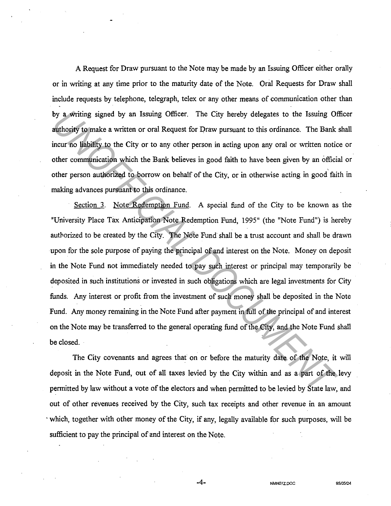A Request for Draw pursuant to the Note may be made by an Issuing Officer either orally or in writing at any time prior to the maturity date of the Note. Oral Requests for Draw shall include requests by telephone, telegraph, telex or any other means of communication other than by a writing signed by an Issuing Officer. The City hereby delegates to the Issuing Officer authority to make a written or oral Request for Draw pursuant to this ordinance. The Bank shall incur no liability to the City or to any other person in acting upon any oral or written notice or " other communication which the Bank believes in good faith to have been given by an official or other person authorized to borrow on behalf of the City, or in otherwise acting in good faith in making advances pursuant to this ordinance.

Section 3. Note Redemption Fund. A special fund of the City to be known as the "University Place Tax Anticipation Note Redemption Fund, 1995" (the "Note Fund") is hereby authorized to be created by the City. The Note Fund shall be a trust account and shall be drawn upon for the sole purpose of paying the principal of and interest on the Note. Money on deposit in the Note Fund not immediately needed to pay such interest or principal may temporarily be deposited in such institutions or invested in such obligations which are legal investments for City funds. Any interest or profit from the investment of such money shall be deposited in the Note Fund. Any money remaining in the Note Fund after payment in full of the principal of and interest on the Note may be transferred to the general operating fund of the City, and the Note Fund shall be closed. by a writing signed by an Issuing Officer. The City hereby delegates to the Issuing Of authority to make a written or oral Request for Draw pursuant to this ordinance. The Bank<br>incur no liability to the City or to any othe

The City covenants and agrees that on or before the maturity date of the Note, it will deposit in the Note Fund, out of all taxes levied by the City within and as a part of the levy pennitted by law without a vote of the electors and when pennitted to be levied by State law, and out of other revenues received by the City, such tax receipts and other revenue in an amount · which, together with other money of the City, if any, legally available for such purposes, will be sufficient to pay the principal of and interest on the Note.

-4- **NMN07Z.OOC 95/05124**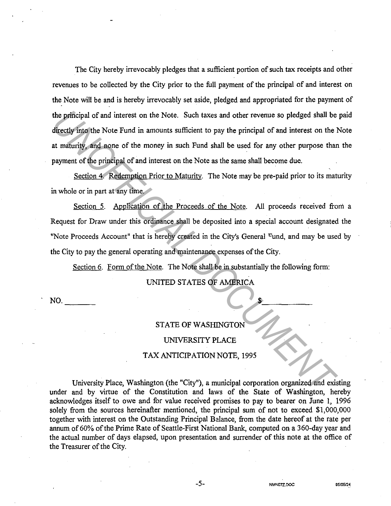The City hereby irrevocably pledges that a sufficient portion of such tax receipts and other revenues to be collected by the City prior to the full payment of the principal of and interest on the Note will be and is hereby irrevocably set aside, pledged and appropriated for the payment of the principal of and interest on the Note. Such taxes and other revenue so pledged shall be paid directly into the Note Fund in amounts sufficient to pay the principal of and interest on the Note at maturity, and none of the money in such Fund shall be used for any other purpose than the payment of the principal of and interest on the Note as the same shall become due. **The principal of and interest on the Note.** Such taxes and other revenue so pledged shall be directly into the Note Fund in amounts sufficient to pay the principal of and interest on the laterative payment of the principa

Section 4. Redemption Prior to Maturity. The Note may be pre-paid prior to its maturity in whole or in part at any time.

Section 5. Application of the Proceeds of the Note. All proceeds received from a Request for Draw under this ordinance shall be deposited into a special account designated the "Note Proceeds Account" that is hereby created in the City's General <sup>E</sup>und, and may be used by the City to pay the general operating and maintenance expenses of the City.

Section 6. Form of the Note. The Note shall be in substantially the following form:

UNITED STATES OF AMERICA

. NO.

----

## STATE OF WASHINGTON

## UNIVERSITY PLACE

## TAX ANTICIPATION NOTE, 1995

University Place, Washington (the "City"), a municipal corporation organized and existing under and by virtue of the Constitution and laws of the State of Washington, hereby acknowledges itself to owe and for value received promises to pay to bearer on June 1, 1996 solely from the sources hereinafter mentioned, the principal sum of not to exceed \$1,000,000 together with interest on the Outstanding Principal Balance, from the date hereof at the rate per annum of 60% of the Prime Rate of Seattle-First National Bank, computed on a 360-day year and the actual number of days elapsed, upon presentation and surrender of this note at the office of the Treasurer of the City.

 $\frac{1}{2}$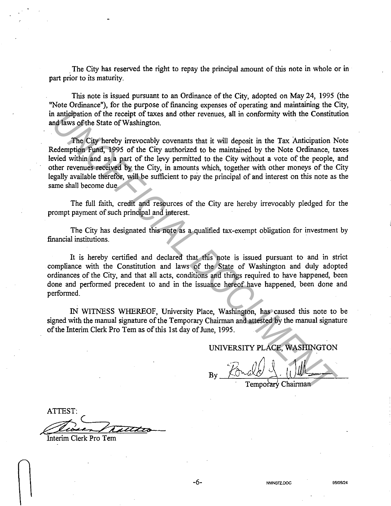. The City has reserved the right to repay the principal amount of this note in whole or in part prior to its maturity.

This note is issued pursuant to an Ordinance of the City, adopted on May 24, 1995 (the "Note Ordinance"), for the purpose of financing expenses of operating and maintaining the City, in anticipation of the receipt of taxes and other revenues, all in conformity with the Constitution and laws of the State of Washington.

The City hereby irrevocably covenants that it will deposit in the Tax Anticipation Note Redemption Fund, 1995 of the City authorized to be maintained by the Note Ordinance, taxes levied within and as a part of the levy permitted to the City without a vote of the people, and other revenues received by the City, in amounts which, together with other moneys of the City legally available therefor, will be sufficient to pay the principal of and interest on this note as the same shall become due. In antigipation of the receipt of taxes and other revenues, all in conformity with the Constituted and sole of Washington.<br> **The City hereby irrevenues that it will deposit in the Tax Anticipation Nedermylon Fund, 1995 of** 

The full faith, credit and resources of the City are hereby irrevocably pledged for the prompt payment of such principal and interest.

The City has designated this note as a qualified tax-exempt obligation for investment by financial institutions.

It is hereby certified and declared that this note is issued pursuant to and in strict compliance with the Constitution and laws of the State of Washington and duly adopted ordinances of the City, and that all acts, conditions and things required to have happened, been done and performed precedent to and in the issuance hereof have happened, been done and performed.

IN WITNESS WHEREOF, University Place, Washington, has caused this note to be signed with the manual signature of the Temporary Chairman and attested by the manual signature of the Interim Clerk Pro Tern as ofthis 1st day of June, 1995.

UNIVERSITY PLACE, WASHINGTON

Temporary Chairman

ATTEST: abun Tutto

Interim Clerk Pro Tern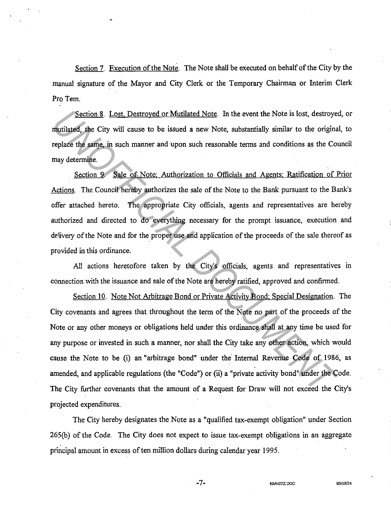Section 7. Execution of the Note. The Note shall be executed on behalf of the City by the manual signature of the Mayor and City Clerk or the Temporary Chairman or Interim Clerk Pro Tem.

Section 8. Lost. Destroyed or Mutilated Note. In the event the Note is lost, destroyed, or mutilated, the City will cause to be issued a new Note, substantially similar to the original, to replace the same, in such manner and upon such reasonable terms and conditions as the Council may determine.

Section 9. Sale of Note: Authorization to Officials and Agents: Ratification of Prior Actions. The Council hereby authorizes the sale of the Note to the Bank pursuant to the Bank's offer attached hereto. The appropriate City officials, agents and representatives are hereby authorized and directed to do everything necessary for the prompt issuance, execution and delivery of the Note and for the proper use and application of the proceeds of the sale thereof as provided in this ordinance.

All actions heretofore taken by the City's officials, agents and representatives in connection with the issuance and sale of the Note are hereby ratified, approved and confirmed.

Section 10. Note Not Arbitrage Bond or Private Activity Bond: Special Designation. The City covenants and agrees that throughout the term of the Note no part of the proceeds of the Note or any other moneys or obligations held under this ordinance shall at any time be used for any purpose or invested in such a manner, nor shall the City take any other action, which would cause the Note to be (i) an "arbitrage bond" under the Internal Revenue Code of 1986, as amended, and applicable regulations (the "Code") or (ii) a "private activity bond" under the Code. The City further covenants that the amount of a Request for Draw will not exceed the City's projected expenditures. **Section 3.** Lost, Destroyed or Mutilated Note. In the event the Note is lost, destroyed mutilated, the City will cause to be issued a new Note, substantially similar to the original replace the same, in such manner and up

The City hereby designates the Note as a "qualified tax-exempt obligation" under Section 265(b) of the Code. The City does not expect to issue tax-exempt obligations in an aggregate principal amount in excess of ten million dollars during calendar year 1995.